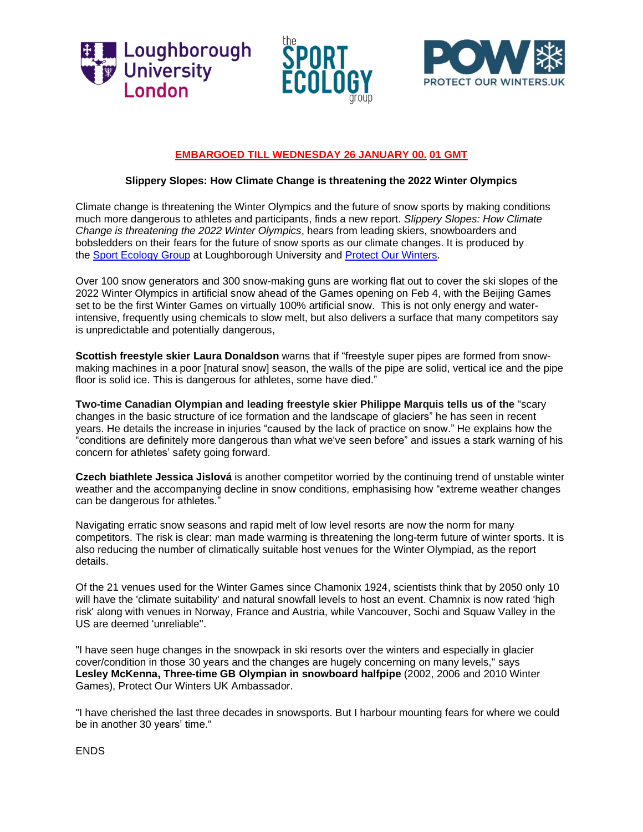





## **EMBARGOED TILL WEDNESDAY 26 JANUARY 00. 01 GMT**

## **Slippery Slopes: How Climate Change is threatening the 2022 Winter Olympics**

Climate change is threatening the Winter Olympics and the future of snow sports by making conditions much more dangerous to athletes and participants, finds a new report. *Slippery Slopes: How Climate Change is threatening the 2022 Winter Olympics*, hears from leading skiers, snowboarders and bobsledders on their fears for the future of snow sports as our climate changes. It is produced by the Sport [Ecology](https://www.sportecology.org/) Group at Loughborough University and Protect Our [Winters.](https://protectourwinters.uk/)

Over 100 snow generators and 300 snow-making guns are working flat out to cover the ski slopes of the 2022 Winter Olympics in artificial snow ahead of the Games opening on Feb 4, with the Beijing Games set to be the first Winter Games on virtually 100% artificial snow. This is not only energy and waterintensive, frequently using chemicals to slow melt, but also delivers a surface that many competitors say is unpredictable and potentially dangerous,

**Scottish freestyle skier Laura Donaldson** warns that if "freestyle super pipes are formed from snowmaking machines in a poor [natural snow] season, the walls of the pipe are solid, vertical ice and the pipe floor is solid ice. This is dangerous for athletes, some have died."

**Two-time Canadian Olympian and leading freestyle skier Philippe Marquis tells us of the** "scary changes in the basic structure of ice formation and the landscape of glaciers" he has seen in recent years. He details the increase in injuries "caused by the lack of practice on snow." He explains how the "conditions are definitely more dangerous than what we've seen before" and issues a stark warning of his concern for athletes' safety going forward.

**Czech biathlete Jessica Jislová** is another competitor worried by the continuing trend of unstable winter weather and the accompanying decline in snow conditions, emphasising how "extreme weather changes can be dangerous for athletes."

Navigating erratic snow seasons and rapid melt of low level resorts are now the norm for many competitors. The risk is clear: man made warming is threatening the long-term future of winter sports. It is also reducing the number of climatically suitable host venues for the Winter Olympiad, as the report details.

Of the 21 venues used for the Winter Games since Chamonix 1924, scientists think that by 2050 only 10 will have the 'climate suitability' and natural snowfall levels to host an event. Chamnix is now rated 'high risk' along with venues in Norway, France and Austria, while Vancouver, Sochi and Squaw Valley in the US are deemed 'unreliable''.

"I have seen huge changes in the snowpack in ski resorts over the winters and especially in glacier cover/condition in those 30 years and the changes are hugely concerning on many levels," says **Lesley McKenna, Three-time GB Olympian in snowboard halfpipe** (2002, 2006 and 2010 Winter Games), Protect Our Winters UK Ambassador.

"I have cherished the last three decades in snowsports. But I harbour mounting fears for where we could be in another 30 years' time."

ENDS